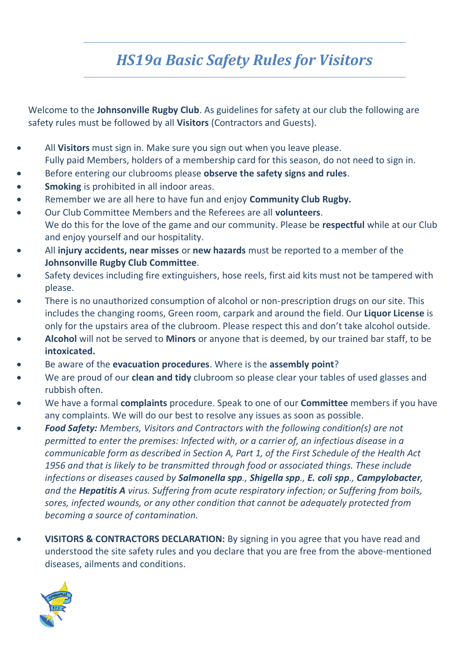## *HS19a Basic Safety Rules for Visitors*

Welcome to the **Johnsonville Rugby Club**. As guidelines for safety at our club the following are safety rules must be followed by all **Visitors** (Contractors and Guests).

- All **Visitors** must sign in. Make sure you sign out when you leave please. Fully paid Members, holders of a membership card for this season, do not need to sign in.
- Before entering our clubrooms please **observe the safety signs and rules**.
- **Smoking** is prohibited in all indoor areas.
- Remember we are all here to have fun and enjoy **Community Club Rugby.**
- Our Club Committee Members and the Referees are all **volunteers**. We do this for the love of the game and our community. Please be **respectful** while at our Club and enjoy yourself and our hospitality.
- All **injury accidents, near misses** or **new hazards** must be reported to a member of the **Johnsonville Rugby Club Committee**.
- Safety devices including fire extinguishers, hose reels, first aid kits must not be tampered with please.
- There is no unauthorized consumption of alcohol or non-prescription drugs on our site. This includes the changing rooms, Green room, carpark and around the field. Our **Liquor License** is only for the upstairs area of the clubroom. Please respect this and don't take alcohol outside.
- **Alcohol** will not be served to **Minors** or anyone that is deemed, by our trained bar staff, to be **intoxicated.**
- Be aware of the **evacuation procedures**. Where is the **assembly point**?
- We are proud of our **clean and tidy** clubroom so please clear your tables of used glasses and rubbish often.
- We have a formal **complaints** procedure. Speak to one of our **Committee** members if you have any complaints. We will do our best to resolve any issues as soon as possible.
- *Food Safety: Members, Visitors and Contractors with the following condition(s) are not permitted to enter the premises: Infected with, or a carrier of, an infectious disease in a communicable form as described in Section A, Part 1, of the First Schedule of the Health Act 1956 and that is likely to be transmitted through food or associated things. These include infections or diseases caused by Salmonella spp., Shigella spp., E. coli spp., Campylobacter, and the Hepatitis A virus. Suffering from acute respiratory infection; or Suffering from boils, sores, infected wounds, or any other condition that cannot be adequately protected from becoming a source of contamination.*
- **VISITORS & CONTRACTORS DECLARATION:** By signing in you agree that you have read and understood the site safety rules and you declare that you are free from the above-mentioned diseases, ailments and conditions.